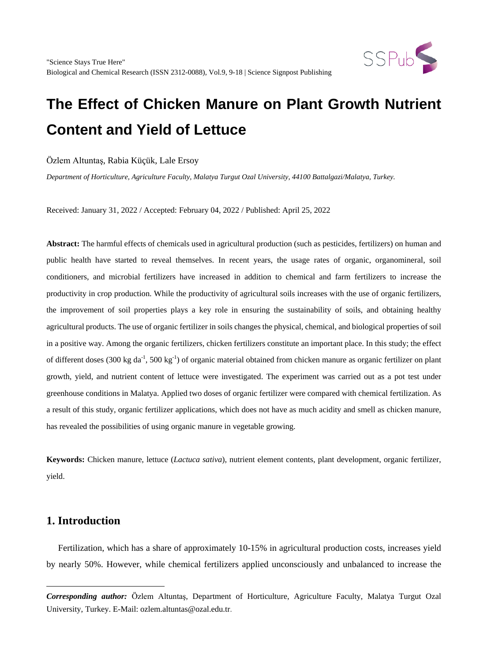

Özlem Altuntaş, Rabia Küçük, Lale Ersoy

*Department of Horticulture, Agriculture Faculty, Malatya Turgut Ozal University, 44100 Battalgazi/Malatya, Turkey.*

Received: January 31, 2022 / Accepted: February 04, 2022 / Published: April 25, 2022

**Abstract:** The harmful effects of chemicals used in agricultural production (such as pesticides, fertilizers) on human and public health have started to reveal themselves. In recent years, the usage rates of organic, organomineral, soil conditioners, and microbial fertilizers have increased in addition to chemical and farm fertilizers to increase the productivity in crop production. While the productivity of agricultural soils increases with the use of organic fertilizers, the improvement of soil properties plays a key role in ensuring the sustainability of soils, and obtaining healthy agricultural products. The use of organic fertilizer in soils changes the physical, chemical, and biological properties of soil in a positive way. Among the organic fertilizers, chicken fertilizers constitute an important place. In this study; the effect of different doses (300 kg da<sup>-1</sup>, 500 kg<sup>-1</sup>) of organic material obtained from chicken manure as organic fertilizer on plant growth, yield, and nutrient content of lettuce were investigated. The experiment was carried out as a pot test under greenhouse conditions in Malatya. Applied two doses of organic fertilizer were compared with chemical fertilization. As a result of this study, organic fertilizer applications, which does not have as much acidity and smell as chicken manure, has revealed the possibilities of using organic manure in vegetable growing.

**Keywords:** Chicken manure, lettuce (*Lactuca sativa*), nutrient element contents, plant development, organic fertilizer, yield.

## **1. Introduction**

 $\overline{a}$ 

Fertilization, which has a share of approximately 10-15% in agricultural production costs, increases yield by nearly 50%. However, while chemical fertilizers applied unconsciously and unbalanced to increase the

<span id="page-0-0"></span>*Corresponding author:* Özlem Altuntaş, Department of Horticulture, Agriculture Faculty, Malatya Turgut Ozal University, Turkey. E-Mail: ozlem.altuntas@ozal.edu.tr.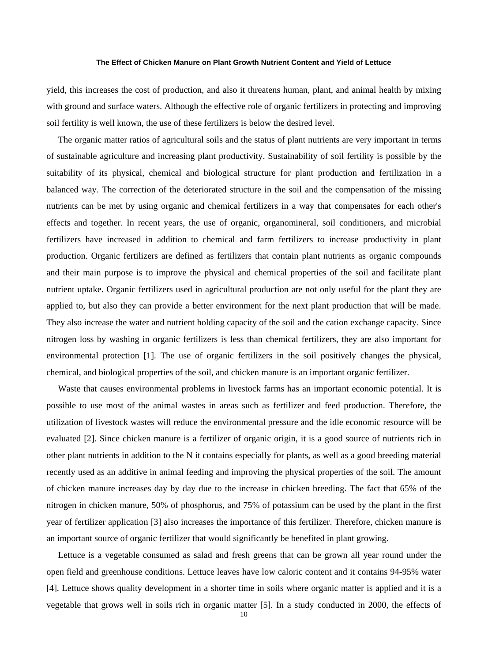yield, this increases the cost of production, and also it threatens human, plant, and animal health by mixing with ground and surface waters. Although the effective role of organic fertilizers in protecting and improving soil fertility is well known, the use of these fertilizers is below the desired level.

The organic matter ratios of agricultural soils and the status of plant nutrients are very important in terms of sustainable agriculture and increasing plant productivity. Sustainability of soil fertility is possible by the suitability of its physical, chemical and biological structure for plant production and fertilization in a balanced way. The correction of the deteriorated structure in the soil and the compensation of the missing nutrients can be met by using organic and chemical fertilizers in a way that compensates for each other's effects and together. In recent years, the use of organic, organomineral, soil conditioners, and microbial fertilizers have increased in addition to chemical and farm fertilizers to increase productivity in plant production. Organic fertilizers are defined as fertilizers that contain plant nutrients as organic compounds and their main purpose is to improve the physical and chemical properties of the soil and facilitate plant nutrient uptake. Organic fertilizers used in agricultural production are not only useful for the plant they are applied to, but also they can provide a better environment for the next plant production that will be made. They also increase the water and nutrient holding capacity of the soil and the cation exchange capacity. Since nitrogen loss by washing in organic fertilizers is less than chemical fertilizers, they are also important for environmental protection [1]. The use of organic fertilizers in the soil positively changes the physical, chemical, and biological properties of the soil, and chicken manure is an important organic fertilizer.

Waste that causes environmental problems in livestock farms has an important economic potential. It is possible to use most of the animal wastes in areas such as fertilizer and feed production. Therefore, the utilization of livestock wastes will reduce the environmental pressure and the idle economic resource will be evaluated [2]. Since chicken manure is a fertilizer of organic origin, it is a good source of nutrients rich in other plant nutrients in addition to the N it contains especially for plants, as well as a good breeding material recently used as an additive in animal feeding and improving the physical properties of the soil. The amount of chicken manure increases day by day due to the increase in chicken breeding. The fact that 65% of the nitrogen in chicken manure, 50% of phosphorus, and 75% of potassium can be used by the plant in the first year of fertilizer application [3] also increases the importance of this fertilizer. Therefore, chicken manure is an important source of organic fertilizer that would significantly be benefited in plant growing.

Lettuce is a vegetable consumed as salad and fresh greens that can be grown all year round under the open field and greenhouse conditions. Lettuce leaves have low caloric content and it contains 94-95% water [4]. Lettuce shows quality development in a shorter time in soils where organic matter is applied and it is a vegetable that grows well in soils rich in organic matter [5]. In a study conducted in 2000, the effects of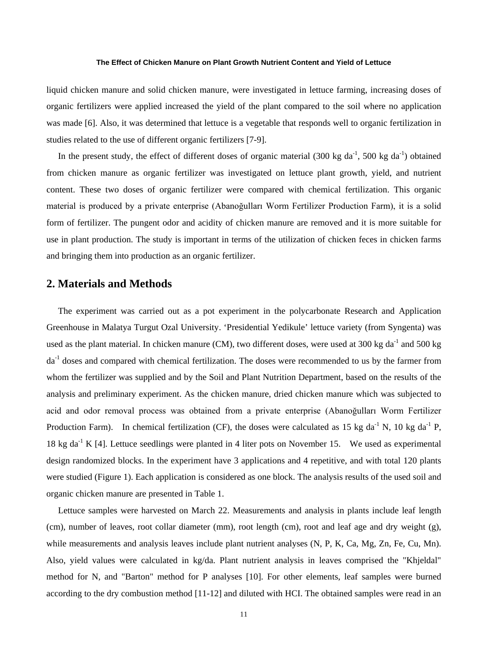liquid chicken manure and solid chicken manure, were investigated in lettuce farming, increasing doses of organic fertilizers were applied increased the yield of the plant compared to the soil where no application was made [6]. Also, it was determined that lettuce is a vegetable that responds well to organic fertilization in studies related to the use of different organic fertilizers [7-9].

In the present study, the effect of different doses of organic material  $(300 \text{ kg da}^{-1}, 500 \text{ kg da}^{-1})$  obtained from chicken manure as organic fertilizer was investigated on lettuce plant growth, yield, and nutrient content. These two doses of organic fertilizer were compared with chemical fertilization. This organic material is produced by a private enterprise (Abanoğulları Worm Fertilizer Production Farm), it is a solid form of fertilizer. The pungent odor and acidity of chicken manure are removed and it is more suitable for use in plant production. The study is important in terms of the utilization of chicken feces in chicken farms and bringing them into production as an organic fertilizer.

## **2. Materials and Methods**

The experiment was carried out as a pot experiment in the polycarbonate Research and Application Greenhouse in Malatya Turgut Ozal University. 'Presidential Yedikule' lettuce variety (from Syngenta) was used as the plant material. In chicken manure (CM), two different doses, were used at 300 kg da<sup>-1</sup> and 500 kg da-1 doses and compared with chemical fertilization. The doses were recommended to us by the farmer from whom the fertilizer was supplied and by the Soil and Plant Nutrition Department, based on the results of the analysis and preliminary experiment. As the chicken manure, dried chicken manure which was subjected to acid and odor removal process was obtained from a private enterprise (Abanoğulları Worm Fertilizer Production Farm). In chemical fertilization (CF), the doses were calculated as 15 kg da<sup>-1</sup> N, 10 kg da<sup>-1</sup> P, 18 kg da<sup>-1</sup> K [4]. Lettuce seedlings were planted in 4 liter pots on November 15. We used as experimental design randomized blocks. In the experiment have 3 applications and 4 repetitive, and with total 120 plants were studied (Figure 1). Each application is considered as one block. The analysis results of the used soil and organic chicken manure are presented in Table 1.

Lettuce samples were harvested on March 22. Measurements and analysis in plants include leaf length (cm), number of leaves, root collar diameter (mm), root length (cm), root and leaf age and dry weight (g), while measurements and analysis leaves include plant nutrient analyses (N, P, K, Ca, Mg, Zn, Fe, Cu, Mn). Also, yield values were calculated in kg/da. Plant nutrient analysis in leaves comprised the "Khjeldal" method for N, and "Barton" method for P analyses [10]. For other elements, leaf samples were burned according to the dry combustion method [11-12] and diluted with HCI. The obtained samples were read in an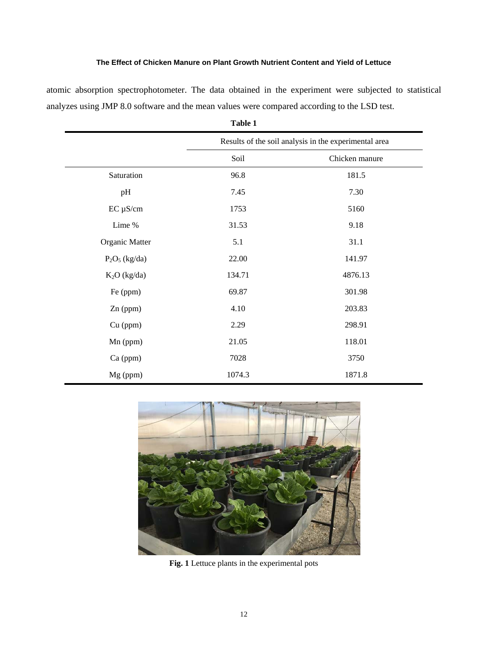atomic absorption spectrophotometer. The data obtained in the experiment were subjected to statistical analyzes using JMP 8.0 software and the mean values were compared according to the LSD test.

|                  | Results of the soil analysis in the experimental area |                |  |  |  |
|------------------|-------------------------------------------------------|----------------|--|--|--|
|                  | Soil                                                  | Chicken manure |  |  |  |
| Saturation       | 96.8                                                  | 181.5          |  |  |  |
| pH               | 7.45                                                  | 7.30           |  |  |  |
| $EC \mu S/cm$    | 1753                                                  | 5160           |  |  |  |
| Lime %           | 31.53                                                 | 9.18           |  |  |  |
| Organic Matter   | 5.1                                                   | 31.1           |  |  |  |
| $P_2O_5$ (kg/da) | 22.00                                                 | 141.97         |  |  |  |
| $K2O$ (kg/da)    | 134.71                                                | 4876.13        |  |  |  |
| Fe (ppm)         | 69.87                                                 | 301.98         |  |  |  |
| Zn (ppm)         | 4.10                                                  | 203.83         |  |  |  |
| Cu (ppm)         | 2.29                                                  | 298.91         |  |  |  |
| Mn (ppm)         | 21.05                                                 | 118.01         |  |  |  |
| $Ca$ (ppm)       | 7028                                                  | 3750           |  |  |  |
| Mg (ppm)         | 1074.3                                                | 1871.8         |  |  |  |

**Table 1**



**Fig. 1** Lettuce plants in the experimental pots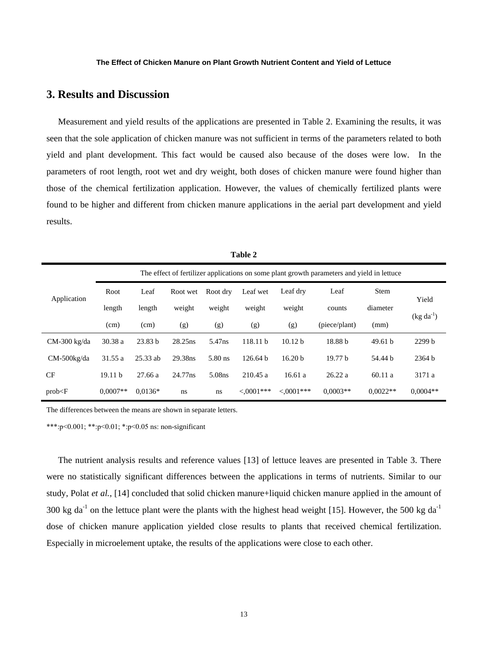## **3. Results and Discussion**

Measurement and yield results of the applications are presented in Table 2. Examining the results, it was seen that the sole application of chicken manure was not sufficient in terms of the parameters related to both yield and plant development. This fact would be caused also because of the doses were low. In the parameters of root length, root wet and dry weight, both doses of chicken manure were found higher than those of the chemical fertilization application. However, the values of chemically fertilized plants were found to be higher and different from chicken manure applications in the aerial part development and yield results.

|                | The effect of fertilizer applications on some plant growth parameters and yield in lettuce |            |          |                    |                     |                    |               |             |                |  |
|----------------|--------------------------------------------------------------------------------------------|------------|----------|--------------------|---------------------|--------------------|---------------|-------------|----------------|--|
| Application    | Root                                                                                       | Leaf       | Root wet | Root dry           | Leaf wet            | Leaf dry           | Leaf          | <b>Stem</b> | Yield          |  |
|                | length                                                                                     | length     | weight   | weight             | weight              | weight             | counts        | diameter    |                |  |
|                | (cm)                                                                                       | (cm)       | (g)      | (g)                | (g)                 | (g)                | (piece/plant) | (mm)        | $(kg da^{-1})$ |  |
| $CM-300$ kg/da | 30.38 a                                                                                    | 23.83h     | 28.25ns  | 5.47 <sub>ns</sub> | 118.11 <sub>b</sub> | 10.12 <sub>b</sub> | 18.88 b       | 49.61 h     | 2299 b         |  |
| $CM-500kg/da$  | 31.55 a                                                                                    | $25.33$ ab | 29.38ns  | $5.80$ ns          | 126.64 <sub>b</sub> | 16.20 <sub>b</sub> | 19.77 h       | 54.44 b     | 2364 b         |  |
| <b>CF</b>      | 19.11 <sub>b</sub>                                                                         | 27.66 a    | 24.77ns  | 5.08ns             | 210.45a             | 16.61a             | 26.22a        | 60.11a      | 3171 a         |  |
| prob < F       | $0.0007**$                                                                                 | $0.0136*$  | ns       | ns                 | $<0001***$          | $<0001***$         | $0.0003**$    | $0.0022**$  | $0.0004**$     |  |

**Table 2**

The differences between the means are shown in separate letters.

\*\*\*:p˂0.001; \*\*:p˂0.01; \*:p˂0.05 ns: non-significant

The nutrient analysis results and reference values [13] of lettuce leaves are presented in Table 3. There were no statistically significant differences between the applications in terms of nutrients. Similar to our study, Polat *et al.,* [14] concluded that solid chicken manure+liquid chicken manure applied in the amount of 300 kg da<sup>-1</sup> on the lettuce plant were the plants with the highest head weight [15]. However, the 500 kg da<sup>-1</sup> dose of chicken manure application yielded close results to plants that received chemical fertilization. Especially in microelement uptake, the results of the applications were close to each other.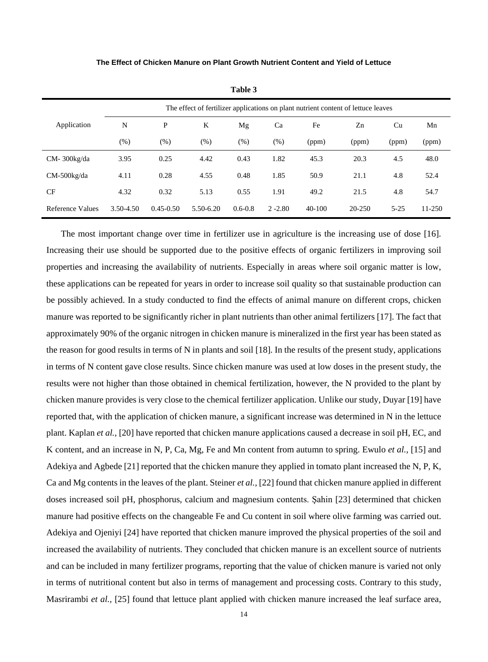|                  | The effect of fertilizer applications on plant nutrient content of lettuce leaves |               |           |             |            |          |            |          |        |
|------------------|-----------------------------------------------------------------------------------|---------------|-----------|-------------|------------|----------|------------|----------|--------|
| Application      | N                                                                                 | P             | K         | Mg          | Ca         | Fe       | Zn         | Cu       | Mn     |
|                  | (% )                                                                              | $(\%)$        | (% )      | (% )        | $(\% )$    | (ppm)    | (ppm)      | (ppm)    | (ppm)  |
| $CM-300kg/da$    | 3.95                                                                              | 0.25          | 4.42      | 0.43        | 1.82       | 45.3     | 20.3       | 4.5      | 48.0   |
| $CM-500kg/da$    | 4.11                                                                              | 0.28          | 4.55      | 0.48        | 1.85       | 50.9     | 21.1       | 4.8      | 52.4   |
| <b>CF</b>        | 4.32                                                                              | 0.32          | 5.13      | 0.55        | 1.91       | 49.2     | 21.5       | 4.8      | 54.7   |
| Reference Values | 3.50-4.50                                                                         | $0.45 - 0.50$ | 5.50-6.20 | $0.6 - 0.8$ | $2 - 2.80$ | $40-100$ | $20 - 250$ | $5 - 25$ | 11-250 |

**Table 3**

 The most important change over time in fertilizer use in agriculture is the increasing use of dose [16]. Increasing their use should be supported due to the positive effects of organic fertilizers in improving soil properties and increasing the availability of nutrients. Especially in areas where soil organic matter is low, these applications can be repeated for years in order to increase soil quality so that sustainable production can be possibly achieved. In a study conducted to find the effects of animal manure on different crops, chicken manure was reported to be significantly richer in plant nutrients than other animal fertilizers [17]. The fact that approximately 90% of the organic nitrogen in chicken manure is mineralized in the first year has been stated as the reason for good results in terms of N in plants and soil [18]. In the results of the present study, applications in terms of N content gave close results. Since chicken manure was used at low doses in the present study, the results were not higher than those obtained in chemical fertilization, however, the N provided to the plant by chicken manure provides is very close to the chemical fertilizer application. Unlike our study, Duyar [19] have reported that, with the application of chicken manure, a significant increase was determined in N in the lettuce plant. Kaplan *et al.,* [20] have reported that chicken manure applications caused a decrease in soil pH, EC, and K content, and an increase in N, P, Ca, Mg, Fe and Mn content from autumn to spring. Ewulo *et al.,* [15] and Adekiya and Agbede [21] reported that the chicken manure they applied in tomato plant increased the N, P, K, Ca and Mg contents in the leaves of the plant. Steiner *et al.,* [22] found that chicken manure applied in different doses increased soil pH, phosphorus, calcium and magnesium contents. Şahin [23] determined that chicken manure had positive effects on the changeable Fe and Cu content in soil where olive farming was carried out. Adekiya and Ojeniyi [24] have reported that chicken manure improved the physical properties of the soil and increased the availability of nutrients. They concluded that chicken manure is an excellent source of nutrients and can be included in many fertilizer programs, reporting that the value of chicken manure is varied not only in terms of nutritional content but also in terms of management and processing costs. Contrary to this study, Masrirambi *et al.,* [25] found that lettuce plant applied with chicken manure increased the leaf surface area,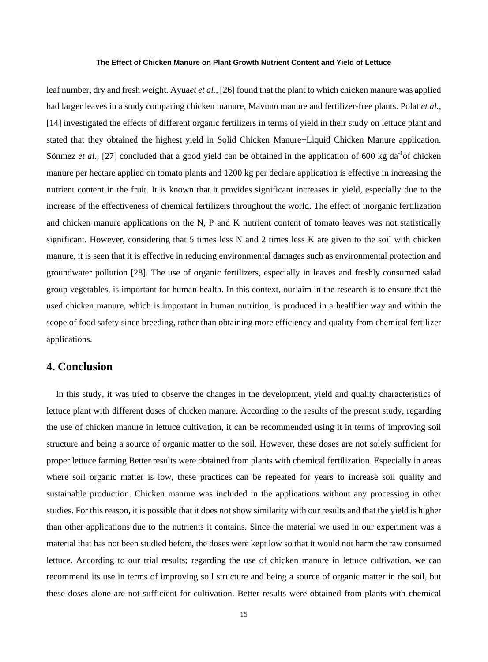leaf number, dry and fresh weight. Ayua*et et al.,* [26] found that the plant to which chicken manure was applied had larger leaves in a study comparing chicken manure, Mavuno manure and fertilizer-free plants. Polat *et al.,* [14] investigated the effects of different organic fertilizers in terms of yield in their study on lettuce plant and stated that they obtained the highest yield in Solid Chicken Manure+Liquid Chicken Manure application. Sönmez *et al.*, [27] concluded that a good yield can be obtained in the application of 600 kg da<sup>-1</sup>of chicken manure per hectare applied on tomato plants and 1200 kg per declare application is effective in increasing the nutrient content in the fruit. It is known that it provides significant increases in yield, especially due to the increase of the effectiveness of chemical fertilizers throughout the world. The effect of inorganic fertilization and chicken manure applications on the N, P and K nutrient content of tomato leaves was not statistically significant. However, considering that 5 times less N and 2 times less K are given to the soil with chicken manure, it is seen that it is effective in reducing environmental damages such as environmental protection and groundwater pollution [28]. The use of organic fertilizers, especially in leaves and freshly consumed salad group vegetables, is important for human health. In this context, our aim in the research is to ensure that the used chicken manure, which is important in human nutrition, is produced in a healthier way and within the scope of food safety since breeding, rather than obtaining more efficiency and quality from chemical fertilizer applications.

## **4. Conclusion**

In this study, it was tried to observe the changes in the development, yield and quality characteristics of lettuce plant with different doses of chicken manure. According to the results of the present study, regarding the use of chicken manure in lettuce cultivation, it can be recommended using it in terms of improving soil structure and being a source of organic matter to the soil. However, these doses are not solely sufficient for proper lettuce farming Better results were obtained from plants with chemical fertilization. Especially in areas where soil organic matter is low, these practices can be repeated for years to increase soil quality and sustainable production. Chicken manure was included in the applications without any processing in other studies. For this reason, it is possible that it does not show similarity with our results and that the yield is higher than other applications due to the nutrients it contains. Since the material we used in our experiment was a material that has not been studied before, the doses were kept low so that it would not harm the raw consumed lettuce. According to our trial results; regarding the use of chicken manure in lettuce cultivation, we can recommend its use in terms of improving soil structure and being a source of organic matter in the soil, but these doses alone are not sufficient for cultivation. Better results were obtained from plants with chemical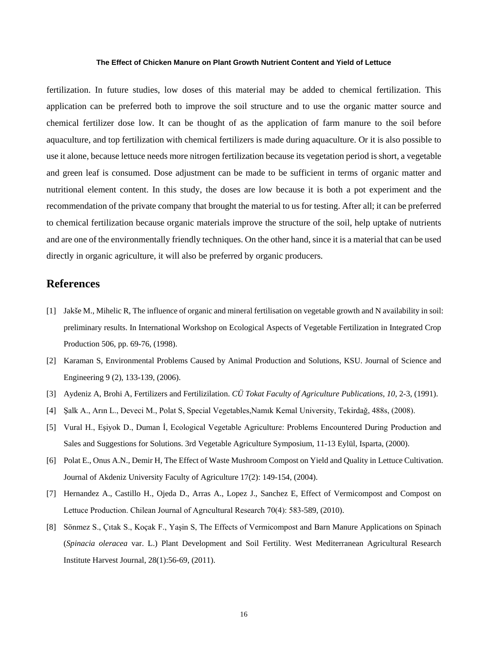fertilization. In future studies, low doses of this material may be added to chemical fertilization. This application can be preferred both to improve the soil structure and to use the organic matter source and chemical fertilizer dose low. It can be thought of as the application of farm manure to the soil before aquaculture, and top fertilization with chemical fertilizers is made during aquaculture. Or it is also possible to use it alone, because lettuce needs more nitrogen fertilization because its vegetation period is short, a vegetable and green leaf is consumed. Dose adjustment can be made to be sufficient in terms of organic matter and nutritional element content. In this study, the doses are low because it is both a pot experiment and the recommendation of the private company that brought the material to us for testing. After all; it can be preferred to chemical fertilization because organic materials improve the structure of the soil, help uptake of nutrients and are one of the environmentally friendly techniques. On the other hand, since it is a material that can be used directly in organic agriculture, it will also be preferred by organic producers.

## **References**

- [1] Jakše M., Mihelic R, The influence of organic and mineral fertilisation on vegetable growth and N availability in soil: preliminary results. In International Workshop on Ecological Aspects of Vegetable Fertilization in Integrated Crop Production 506, pp. 69-76, (1998).
- [2] Karaman S, Environmental Problems Caused by Animal Production and Solutions, KSU. Journal of Science and Engineering 9 (2), 133-139, (2006).
- [3] Aydeniz A, Brohi A, Fertilizers and Fertilizilation. *CÜ Tokat Faculty of Agriculture Publications*, *10*, 2-3, (1991).
- [4] Şalk A., Arın L., Deveci M., Polat S, Special Vegetables,Namık Kemal University, Tekirdağ, 488s, (2008).
- [5] Vural H., Eşiyok D., Duman İ, Ecological Vegetable Agriculture: Problems Encountered During Production and Sales and Suggestions for Solutions. 3rd Vegetable Agriculture Symposium, 11-13 Eylül, Isparta, (2000).
- [6] Polat E., Onus A.N., Demir H, The Effect of Waste Mushroom Compost on Yield and Quality in Lettuce Cultivation. Journal of Akdeniz University Faculty of Agriculture 17(2): 149-154, (2004).
- [7] Hernandez A., Castillo H., Ojeda D., Arras A., Lopez J., Sanchez E, Effect of Vermicompost and Compost on Lettuce Production. Chilean Journal of Agrıcultural Research 70(4): 583-589, (2010).
- [8] Sönmez S., Çıtak S., Koçak F., Yaşin S, The Effects of Vermicompost and Barn Manure Applications on Spinach (*Spinacia oleracea* var. L.) Plant Development and Soil Fertility. West Mediterranean Agricultural Research Institute Harvest Journal, 28(1):56-69, (2011).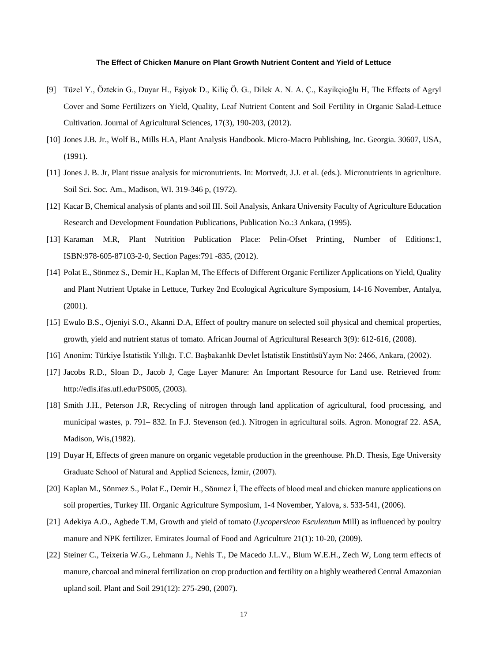- [9] Tüzel Y., Öztekin G., Duyar H., Eşiyok D., Kiliç Ö. G., Dilek A. N. A. Ç., Kayikçioğlu H, The Effects of Agryl Cover and Some Fertilizers on Yield, Quality, Leaf Nutrient Content and Soil Fertility in Organic Salad-Lettuce Cultivation. Journal of Agricultural Sciences, 17(3), 190-203, (2012).
- [10] Jones J.B. Jr., Wolf B., Mills H.A, Plant Analysis Handbook. Micro-Macro Publishing, Inc. Georgia. 30607, USA, (1991).
- [11] Jones J. B. Jr, Plant tissue analysis for micronutrients. In: Mortvedt, J.J. et al. (eds.). Micronutrients in agriculture. Soil Sci. Soc. Am., Madison, WI. 319-346 p, (1972).
- [12] Kacar B, Chemical analysis of plants and soil III. Soil Analysis, Ankara University Faculty of Agriculture Education Research and Development Foundation Publications, Publication No.:3 Ankara, (1995).
- [13] Karaman M.R, Plant Nutrition Publication Place: Pelin-Ofset Printing, Number of Editions:1, ISBN:978-605-87103-2-0, Section Pages:791 -835, (2012).
- [14] Polat E., Sönmez S., Demir H., Kaplan M, The Effects of Different Organic Fertilizer Applications on Yield, Quality and Plant Nutrient Uptake in Lettuce, Turkey 2nd Ecological Agriculture Symposium, 14-16 November, Antalya, (2001).
- [15] Ewulo B.S., Ojeniyi S.O., Akanni D.A, Effect of poultry manure on selected soil physical and chemical properties, growth, yield and nutrient status of tomato. African Journal of Agricultural Research 3(9): 612-616, (2008).
- [16] Anonim: Türkiye İstatistik Yıllığı. T.C. Başbakanlık Devlet İstatistik EnstitüsüYayın No: 2466, Ankara, (2002).
- [17] Jacobs R.D., Sloan D., Jacob J, Cage Layer Manure: An Important Resource for Land use. Retrieved from: http://edis.ifas.ufl.edu/PS005, (2003).
- [18] Smith J.H., Peterson J.R, Recycling of nitrogen through land application of agricultural, food processing, and municipal wastes, p. 791– 832. In F.J. Stevenson (ed.). Nitrogen in agricultural soils. Agron. Monograf 22. ASA, Madison, Wis,(1982).
- [19] Duyar H, Effects of green manure on organic vegetable production in the greenhouse. Ph.D. Thesis, Ege University Graduate School of Natural and Applied Sciences, İzmir, (2007).
- [20] Kaplan M., Sönmez S., Polat E., Demir H., Sönmez İ, The effects of blood meal and chicken manure applications on soil properties, Turkey III. Organic Agriculture Symposium, 1-4 November, Yalova, s. 533-541, (2006).
- [21] Adekiya A.O., Agbede T.M, Growth and yield of tomato (*Lycopersicon Esculentum* Mill) as influenced by poultry manure and NPK fertilizer. Emirates Journal of Food and Agriculture 21(1): 10-20, (2009).
- [22] Steiner C., Teixeria W.G., Lehmann J., Nehls T., De Macedo J.L.V., Blum W.E.H., Zech W, Long term effects of manure, charcoal and mineral fertilization on crop production and fertility on a highly weathered Central Amazonian upland soil. Plant and Soil 291(12): 275-290, (2007).